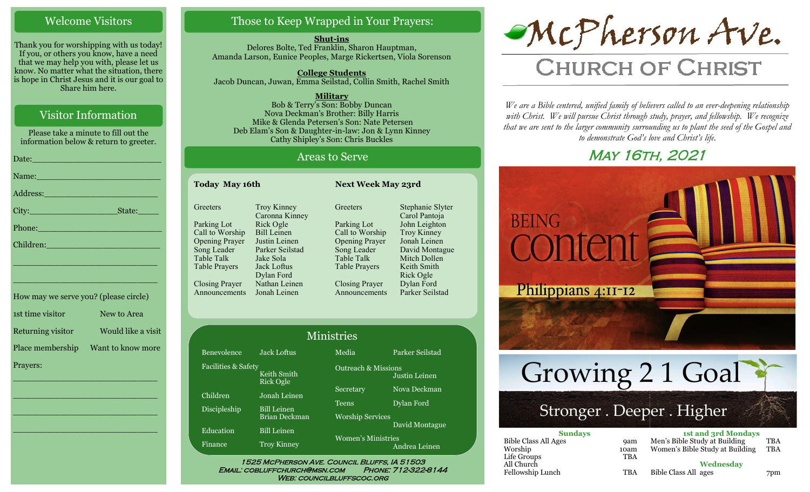### Welcome Visitors

Thank you for worshipping with us today! If you, or others you know, have a need that we may help you with, please let us know. No matter what the situation, there is hope in Christ Jesus and it is our goal to Share him here.

# Visitor Information

Please take a minute to fill out the information below & return to greeter.

| Date: <u>Contract of the Contract of the Contract of the Contract of the Contract of the Contract of the Contract of the Contract of the Contract of the Contract of the Contract of the Contract of the Contract of the Contrac</u> |
|--------------------------------------------------------------------------------------------------------------------------------------------------------------------------------------------------------------------------------------|
| Name: Name and the second state of the second state of the second state of the second state of the second state of the second state of the second state of the second state of the second state of the second state of the sec       |
|                                                                                                                                                                                                                                      |
|                                                                                                                                                                                                                                      |
| Phone: Note: 2008 - 2008 - 2008 - 2008 - 2019 - 2019 - 2019 - 2019 - 2019 - 2019 - 2019 - 2019 - 2019 - 2019 -                                                                                                                       |
| Children: 2008 - 2008 - 2010 - 2010 - 2010 - 2010 - 2011 - 2012 - 2014 - 2016 - 2017 - 2018 - 2019 - 2010 - 20                                                                                                                       |
| <u> 1989 - Johann John Stein, marwolaethau (b. 1989)</u>                                                                                                                                                                             |
| <u> 1989 - Johann John Stone, markin film yn y sefydlu y cyfeithiau y cyfeithiau y cyfeithiau y cyfeithiau y cyf</u>                                                                                                                 |
| How may we serve you? (please circle)                                                                                                                                                                                                |
| $1ct$ time vicitor $N_{QW}$ to Area                                                                                                                                                                                                  |

| $10000$ many $000000$ $00000$ $00000$ $00000$ |                    |
|-----------------------------------------------|--------------------|
| 1st time visitor                              | New to Area        |
| Returning visitor                             | Would like a visit |
| Place membership                              | Want to know more  |
| Prayers:                                      |                    |

\_\_\_\_\_\_\_\_\_\_\_\_\_\_\_\_\_\_\_\_\_\_\_\_\_\_\_\_

 $\overline{\phantom{a}}$  , and the set of the set of the set of the set of the set of the set of the set of the set of the set of the set of the set of the set of the set of the set of the set of the set of the set of the set of the s

 $\overline{\phantom{a}}$  , and the set of the set of the set of the set of the set of the set of the set of the set of the set of the set of the set of the set of the set of the set of the set of the set of the set of the set of the s

\_\_\_\_\_\_\_\_\_\_\_\_\_\_\_\_\_\_\_\_\_\_\_\_\_\_\_\_

# Those to Keep Wrapped in Your Prayers:

**Shut-ins** Delores Bolte, Ted Franklin, Sharon Hauptman, Amanda Larson, Eunice Peoples, Marge Rickertsen, Viola Sorenson

**College Students**  Jacob Duncan, Juwan, Emma Seilstad, Collin Smith, Rachel Smith

**Military** Bob & Terry's Son: Bobby Duncan Nova Deckman's Brother: Billy Harris Mike & Glenda Petersen's Son: Nate Petersen Deb Elam's Son & Daughter-in-law: Jon & Lynn Kinney Cathy Shipley's Son: Chris Buckles

### Areas to Serve

| <b>Today May 16th</b> |                       |                                      | <b>Next Week May 23rd</b> |                                   |  |
|-----------------------|-----------------------|--------------------------------------|---------------------------|-----------------------------------|--|
|                       | Greeters              | <b>Troy Kinney</b><br>Caronna Kinney | Greeters                  | Stephanie Slyter<br>Carol Pantoja |  |
|                       | Parking Lot           | Rick Ogle                            | Parking Lot               | John Leighton                     |  |
|                       | Call to Worship       | <b>Bill Leinen</b>                   | Call to Worship           | Troy Kinney                       |  |
|                       | <b>Opening Prayer</b> | Justin Leinen                        | <b>Opening Prayer</b>     | Jonah Leinen                      |  |
|                       | Song Leader           | Parker Seilstad                      | Song Leader               | David Montague                    |  |
|                       | <b>Table Talk</b>     | Jake Sola                            | Table Talk                | Mitch Dollen                      |  |
|                       | <b>Table Prayers</b>  | Jack Loftus                          | <b>Table Prayers</b>      | Keith Smith                       |  |
|                       |                       | Dylan Ford                           |                           | Rick Ogle                         |  |
|                       | <b>Closing Prayer</b> | Nathan Leinen                        | <b>Closing Prayer</b>     | Dylan Ford                        |  |
|                       | Announcements         | Jonah Leinen                         | Announcements             | Parker Seilstad                   |  |

|                     |                                     | <b>Ministries</b>                       |                 |
|---------------------|-------------------------------------|-----------------------------------------|-----------------|
| Benevolence         | Jack Loftus                         | Media                                   | Parker Seilstad |
| Facilities & Safety | Keith Smith<br><b>Rick Ogle</b>     | <b>Outreach &amp; Missions</b>          | Justin Leinen   |
| Children            | Jonah Leinen                        | Secretary                               | Nova Deckman    |
| <b>Discipleship</b> | <b>Bill Leinen</b><br>Brian Deckman | <b>Teens</b><br><b>Worship Services</b> | Dylan Ford      |
| Education           | <b>Bill Leinen</b>                  |                                         | David Montague  |
| Finance             | <b>Troy Kinney</b>                  | Women's Ministries                      | Andrea Leinen   |

WEB: COUNCILBLUFFSCOC.ORG



# **CHURCH OF CHRIST**

*We are a Bible centered, unified family of believers called to an ever-deepening relationship*  with Christ. We will pursue Christ through study, prayer, and fellowship. We recognize *that we are sent to the larger community surrounding us to plant the seed of the Gospel and to demonstrate God's love and Christ's life.*

# **MAY 16TH, 2021**